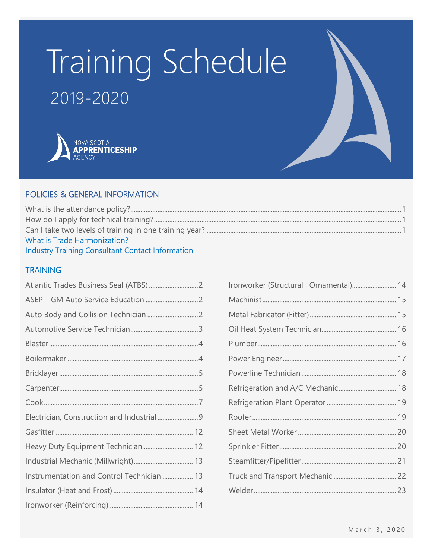# Training Schedule 2019-2020



### POLICIES & GENERAL INFORMATION

| What is Trade Harmonization?                            |  |
|---------------------------------------------------------|--|
| <b>Industry Training Consultant Contact Information</b> |  |

### **TRAINING**

| Heavy Duty Equipment Technician 12         |  |
|--------------------------------------------|--|
|                                            |  |
| Instrumentation and Control Technician  13 |  |
|                                            |  |
|                                            |  |

| Ironworker (Structural   Ornamental) 14 |  |
|-----------------------------------------|--|
|                                         |  |
|                                         |  |
|                                         |  |
|                                         |  |
|                                         |  |
|                                         |  |
|                                         |  |
|                                         |  |
|                                         |  |
|                                         |  |
|                                         |  |
|                                         |  |
|                                         |  |
|                                         |  |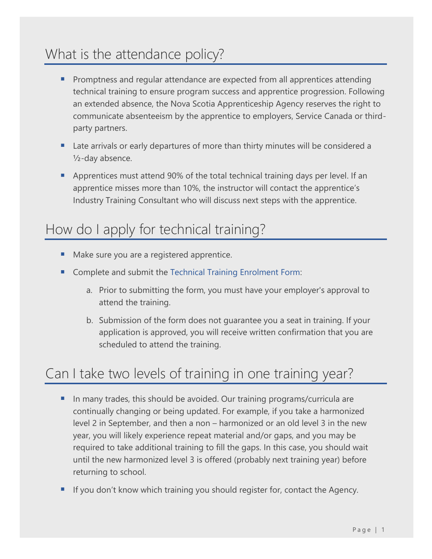### <span id="page-1-0"></span>What is the attendance policy?

- Promptness and regular attendance are expected from all apprentices attending technical training to ensure program success and apprentice progression. Following an extended absence, the Nova Scotia Apprenticeship Agency reserves the right to communicate absenteeism by the apprentice to employers, Service Canada or thirdparty partners.
- Late arrivals or early departures of more than thirty minutes will be considered a ½-day absence.
- Apprentices must attend 90% of the total technical training days per level. If an apprentice misses more than 10%, the instructor will contact the apprentice's Industry Training Consultant who will discuss next steps with the apprentice.

### <span id="page-1-1"></span>How do I apply for technical training?

- Make sure you are a registered apprentice.
- Complete and submit the [Technical Training Enrolment Form:](https://nsapprenticeship.ca/agency/forms-publications#accordion1)
	- a. Prior to submitting the form, you must have your employer's approval to attend the training.
	- b. Submission of the form does not guarantee you a seat in training. If your application is approved, you will receive written confirmation that you are scheduled to attend the training.

### <span id="page-1-2"></span>Can I take two levels of training in one training year?

- **IF** In many trades, this should be avoided. Our training programs/curricula are continually changing or being updated. For example, if you take a harmonized level 2 in September, and then a non – harmonized or an old level 3 in the new year, you will likely experience repeat material and/or gaps, and you may be required to take additional training to fill the gaps. In this case, you should wait until the new harmonized level 3 is offered (probably next training year) before returning to school.
- If you don't know which training you should register for, contact the Agency.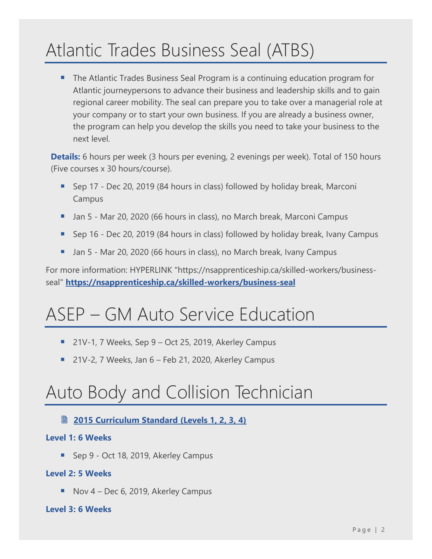## <span id="page-2-0"></span>Atlantic Trades Business Seal (ATBS)

■ The Atlantic Trades Business Seal Program is a continuing education program for Atlantic journeypersons to advance their business and leadership skills and to gain regional career mobility. The seal can prepare you to take over a managerial role at your company or to start your own business. If you are already a business owner, the program can help you develop the skills you need to take your business to the next level.

**Details:** 6 hours per week (3 hours per evening, 2 evenings per week). Total of 150 hours (Five courses x 30 hours/course).

- Sep 17 Dec 20, 2019 (84 hours in class) followed by holiday break, Marconi Campus
- Jan 5 Mar 20, 2020 (66 hours in class), no March break, Marconi Campus
- Sep 16 Dec 20, 2019 (84 hours in class) followed by holiday break, Ivany Campus
- Jan 5 Mar 20, 2020 (66 hours in class), no March break, Ivany Campus

For more information: HYPERLINK "https://nsapprenticeship.ca/skilled-workers/businessseal" **<https://nsapprenticeship.ca/skilled-workers/business-seal>**

### <span id="page-2-1"></span>ASEP – GM Auto Service Education

- 21V-1, 7 Weeks, Sep  $9$  Oct 25, 2019, Akerley Campus
- 21V-2, 7 Weeks, Jan 6 Feb 21, 2020, Akerley Campus

### <span id="page-2-2"></span>Auto Body and Collision Technician

### **<u>■ 2015 Curriculum Standard (Levels 1, 2, 3, 4)</u>**

### **Level 1: 6 Weeks**

■ Sep 9 - Oct 18, 2019, Akerley Campus

### **Level 2: 5 Weeks**

■ Nov 4 – Dec 6, 2019, Akerley Campus

### **Level 3: 6 Weeks**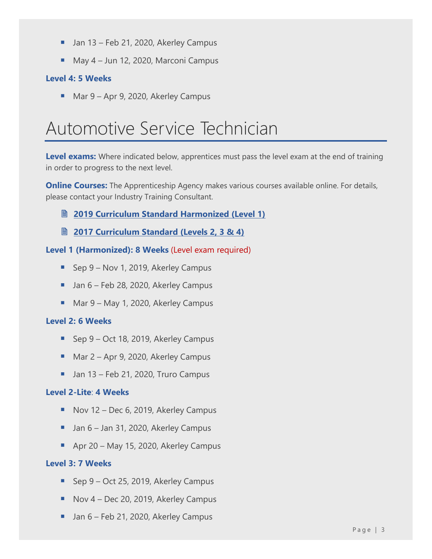- Jan 13 Feb 21, 2020, Akerley Campus
- May 4 Jun 12, 2020, Marconi Campus

### **Level 4: 5 Weeks**

■ Mar 9 – Apr 9, 2020, Akerley Campus

### <span id="page-3-0"></span>Automotive Service Technician

**Level exams:** Where indicated below, apprentices must pass the level exam at the end of training in order to progress to the next level.

**Online Courses:** The Apprenticeship Agency makes various courses available online. For details, please contact your Industry Training Consultant.

### **2019 [Curriculum Standard Harmonized \(Level 1\)](https://nsapprenticeship.ca/sites/default/files/docs/pubs/ASTAACS.pdf)**

**2017 [Curriculum Standard \(Levels 2, 3 & 4\)](https://nsapprenticeship.ca/sites/default/files/docs/pubs/ASTNACS.pdf)**

### **Level 1 (Harmonized): 8 Weeks** (Level exam required)

- Sep 9 Nov 1, 2019, Akerley Campus
- Jan 6 Feb 28, 2020, Akerley Campus
- Mar 9 May 1, 2020, Akerley Campus

### **Level 2: 6 Weeks**

- Sep 9 Oct 18, 2019, Akerley Campus
- Mar 2 Apr 9, 2020, Akerley Campus
- $\blacksquare$  Jan 13 Feb 21, 2020, Truro Campus

### **Level 2-Lite**: **4 Weeks**

- Nov 12 Dec 6, 2019, Akerley Campus
- Jan 6 Jan 31, 2020, Akerley Campus
- Apr 20 May 15, 2020, Akerley Campus

### **Level 3: 7 Weeks**

- Sep 9 Oct 25, 2019, Akerley Campus
- Nov 4 Dec 20, 2019, Akerley Campus
- Jan 6 Feb 21, 2020, Akerley Campus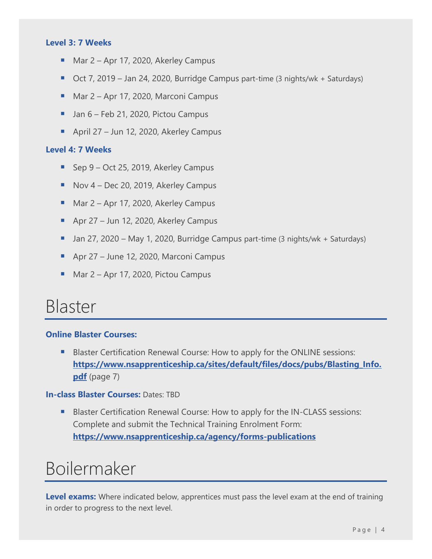### **Level 3: 7 Weeks**

- Mar 2 Apr 17, 2020, Akerley Campus
- Oct 7, 2019 Jan 24, 2020, Burridge Campus part-time (3 nights/wk + Saturdays)
- Mar 2 Apr 17, 2020, Marconi Campus
- Jan 6 Feb 21, 2020, Pictou Campus
- April 27 Jun 12, 2020, Akerley Campus

#### **Level 4: 7 Weeks**

- Sep 9 Oct 25, 2019, Akerley Campus
- Nov 4 Dec 20, 2019, Akerley Campus
- Mar 2 Apr 17, 2020, Akerley Campus
- Apr 27 Jun 12, 2020, Akerley Campus
- Jan 27, 2020 May 1, 2020, Burridge Campus part-time (3 nights/wk + Saturdays)
- Apr 27 June 12, 2020, Marconi Campus
- Mar 2 Apr 17, 2020, Pictou Campus

### <span id="page-4-0"></span>Blaster

### **Online Blaster Courses:**

■ Blaster Certification Renewal Course: How to apply for the ONLINE sessions: **[https://www.nsapprenticeship.ca/sites/default/files/docs/pubs/Blasting\\_Info.](https://www.nsapprenticeship.ca/sites/default/files/docs/pubs/Blasting_Info.pdf) [pdf](https://www.nsapprenticeship.ca/sites/default/files/docs/pubs/Blasting_Info.pdf)** (page 7)

### **In-class Blaster Courses:** Dates: TBD

■ Blaster Certification Renewal Course: How to apply for the IN-CLASS sessions: Complete and submit the Technical Training Enrolment Form: **[https://www.nsapprenticeship.ca/agency/forms-publications](https://www.nsapprenticeship.ca/agency/forms-publications#accordion1)**

### <span id="page-4-1"></span>Boilermaker

Level exams: Where indicated below, apprentices must pass the level exam at the end of training in order to progress to the next level.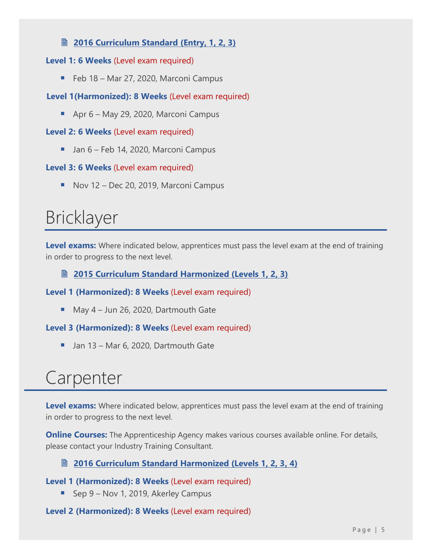### **<u> [2016 Curriculum Standard \(Entry, 1, 2, 3\)](https://www.nsapprenticeship.ca/sites/default/files/docs/pubs/BACS.pdf)</u>**

### **Level 1: 6 Weeks** (Level exam required)

■ Feb 18 – Mar 27, 2020, Marconi Campus

### **Level 1(Harmonized): 8 Weeks** (Level exam required)

■ Apr 6 – May 29, 2020, Marconi Campus

#### **Level 2: 6 Weeks** (Level exam required)

■ Jan 6 – Feb 14, 2020, Marconi Campus

### **Level 3: 6 Weeks** (Level exam required)

■ Nov 12 – Dec 20, 2019, Marconi Campus

### <span id="page-5-0"></span>Bricklayer

Level exams: Where indicated below, apprentices must pass the level exam at the end of training in order to progress to the next level.

### **[2015 Curriculum Standard Harmonized \(Levels 1, 2, 3\)](https://nsapprenticeship.ca/sites/default/files/docs/pubs/BrickAACS.pdf)**

**Level 1 (Harmonized): 8 Weeks** (Level exam required)

■ May 4 – Jun 26, 2020, Dartmouth Gate

**Level 3 (Harmonized): 8 Weeks** (Level exam required)

<span id="page-5-1"></span>■ Jan 13 – Mar 6, 2020, Dartmouth Gate

### Carpenter

**Level exams:** Where indicated below, apprentices must pass the level exam at the end of training in order to progress to the next level.

**Online Courses:** The Apprenticeship Agency makes various courses available online. For details, please contact your Industry Training Consultant.

### **[2016 Curriculum Standard Harmonized \(Levels 1, 2, 3, 4\)](https://nsapprenticeship.ca/sites/default/files/docs/pubs/CarpAACS.pdf)**

**Level 1 (Harmonized): 8 Weeks** (Level exam required)

■ Sep 9 – Nov 1, 2019, Akerley Campus

**Level 2 (Harmonized): 8 Weeks** (Level exam required)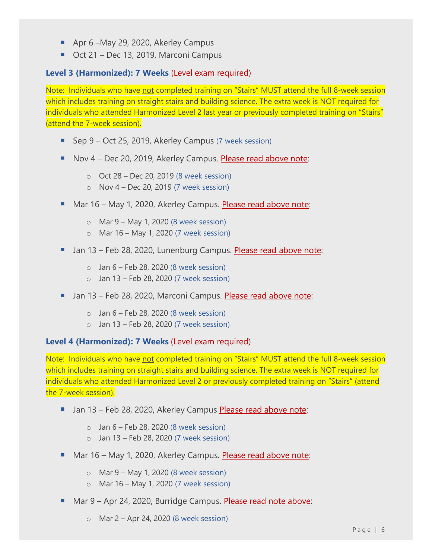- Apr 6 –May 29, 2020, Akerley Campus
- Oct 21 Dec 13, 2019, Marconi Campus

### **Level 3 (Harmonized): 7 Weeks** (Level exam required)

Note: Individuals who have not completed training on "Stairs" MUST attend the full 8-week session which includes training on straight stairs and building science. The extra week is NOT required for individuals who attended Harmonized Level 2 last year or previously completed training on "Stairs" (attend the 7-week session).

- Sep 9 Oct 25, 2019, Akerley Campus (7 week session)
- Nov 4 Dec 20, 2019, Akerley Campus. Please read above note:
	- $\circ$  Oct 28 Dec 20, 2019 (8 week session)
	- $\circ$  Nov 4 Dec 20, 2019 (7 week session)
- Mar 16 May 1, 2020, Akerley Campus. Please read above note:
	- $\circ$  Mar 9 May 1, 2020 (8 week session)
	- o Mar 16 May 1, 2020 (7 week session)
- **E** Jan 13 Feb 28, 2020, Lunenburg Campus. Please read above note:
	- $\circ$  Jan 6 Feb 28, 2020 (8 week session)
	- $\circ$  Jan 13 Feb 28, 2020 (7 week session)
- Jan 13 Feb 28, 2020, Marconi Campus. Please read above note:
	- $\circ$  Jan 6 Feb 28, 2020 (8 week session)
	- $\circ$  Jan 13 Feb 28, 2020 (7 week session)

#### **Level 4 (Harmonized): 7 Weeks** (Level exam required)

Note: Individuals who have not completed training on "Stairs" MUST attend the full 8-week session which includes training on straight stairs and building science. The extra week is NOT required for individuals who attended Harmonized Level 2 or previously completed training on "Stairs" (attend the 7-week session).

- Jan 13 Feb 28, 2020, Akerley Campus Please read above note:
	- $\circ$  Jan 6 Feb 28, 2020 (8 week session)
	- $\circ$  Jan 13 Feb 28, 2020 (7 week session)
- Mar 16 May 1, 2020, Akerley Campus. Please read above note:
	- $\circ$  Mar 9 May 1, 2020 (8 week session)
	- o Mar 16 May 1, 2020 (7 week session)
- Mar 9 Apr 24, 2020, Burridge Campus. Please read note above:
	- o Mar 2 Apr 24, 2020 (8 week session)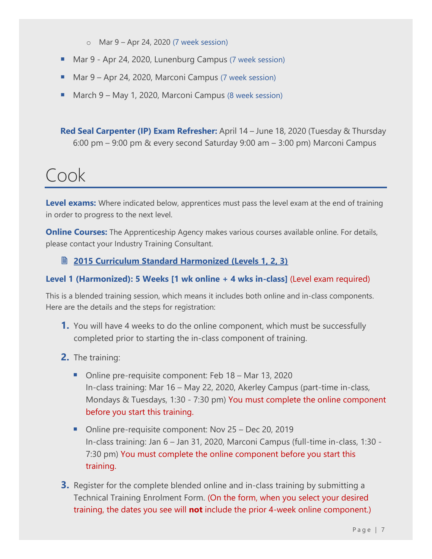- o Mar 9 Apr 24, 2020 (7 week session)
- Mar 9 Apr 24, 2020, Lunenburg Campus (7 week session)
- Mar 9 Apr 24, 2020, Marconi Campus (7 week session)
- March 9 May 1, 2020, Marconi Campus (8 week session)

**Red Seal Carpenter (IP) Exam Refresher:** April 14 – June 18, 2020 (Tuesday & Thursday 6:00 pm – 9:00 pm & every second Saturday 9:00 am – 3:00 pm) Marconi Campus

### <span id="page-7-0"></span>Cook

Level exams: Where indicated below, apprentices must pass the level exam at the end of training in order to progress to the next level.

**Online Courses:** The Apprenticeship Agency makes various courses available online. For details, please contact your Industry Training Consultant.

### **[2015 Curriculum Standard Harmonized \(Levels 1, 2, 3\)](https://nsapprenticeship.ca/sites/default/files/docs/pubs/CookAACS.pdf)**

### **Level 1 (Harmonized): 5 Weeks [1 wk online + 4 wks in-class]** (Level exam required)

This is a blended training session, which means it includes both online and in-class components. Here are the details and the steps for registration:

- **1.** You will have 4 weeks to do the online component, which must be successfully completed prior to starting the in-class component of training.
- **2.** The training:
	- Online pre-requisite component: Feb 18 Mar 13, 2020 In-class training: Mar 16 – May 22, 2020, Akerley Campus (part-time in-class, Mondays & Tuesdays, 1:30 - 7:30 pm) You must complete the online component before you start this training.
	- Online pre-requisite component: Nov 25 Dec 20, 2019 In-class training: Jan 6 – Jan 31, 2020, Marconi Campus (full-time in-class, 1:30 - 7:30 pm) You must complete the online component before you start this training.
- **3.** Register for the complete blended online and in-class training by submitting a Technical Training Enrolment Form. (On the form, when you select your desired training, the dates you see will **not** include the prior 4-week online component.)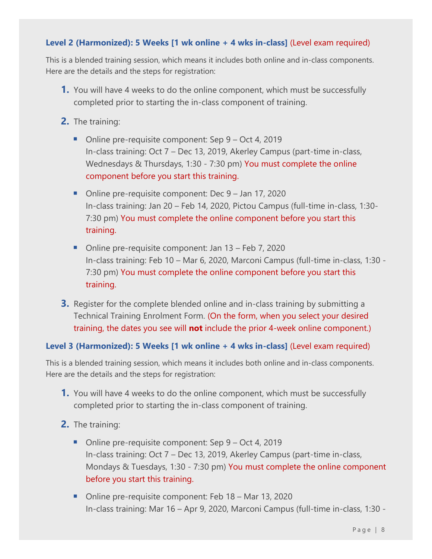### **Level 2 (Harmonized): 5 Weeks [1 wk online + 4 wks in-class]** (Level exam required)

This is a blended training session, which means it includes both online and in-class components. Here are the details and the steps for registration:

- **1.** You will have 4 weeks to do the online component, which must be successfully completed prior to starting the in-class component of training.
- **2.** The training:
	- Online pre-requisite component: Sep 9 Oct 4, 2019 In-class training: Oct 7 – Dec 13, 2019, Akerley Campus (part-time in-class, Wednesdays & Thursdays, 1:30 - 7:30 pm) You must complete the online component before you start this training.
	- Online pre-requisite component: Dec 9 Jan 17, 2020 In-class training: Jan 20 – Feb 14, 2020, Pictou Campus (full-time in-class, 1:30- 7:30 pm) You must complete the online component before you start this training.
	- Online pre-requisite component: Jan 13 Feb 7, 2020 In-class training: Feb 10 – Mar 6, 2020, Marconi Campus (full-time in-class, 1:30 - 7:30 pm) You must complete the online component before you start this training.
- **3.** Register for the complete blended online and in-class training by submitting a Technical Training Enrolment Form. (On the form, when you select your desired training, the dates you see will **not** include the prior 4-week online component.)

### **Level 3 (Harmonized): 5 Weeks [1 wk online + 4 wks in-class]** (Level exam required)

This is a blended training session, which means it includes both online and in-class components. Here are the details and the steps for registration:

- **1.** You will have 4 weeks to do the online component, which must be successfully completed prior to starting the in-class component of training.
- **2.** The training:
	- Online pre-requisite component: Sep 9 Oct 4, 2019 In-class training: Oct 7 – Dec 13, 2019, Akerley Campus (part-time in-class, Mondays & Tuesdays, 1:30 - 7:30 pm) You must complete the online component before you start this training.
	- Online pre-requisite component: Feb 18 Mar 13, 2020 In-class training: Mar 16 – Apr 9, 2020, Marconi Campus (full-time in-class, 1:30 -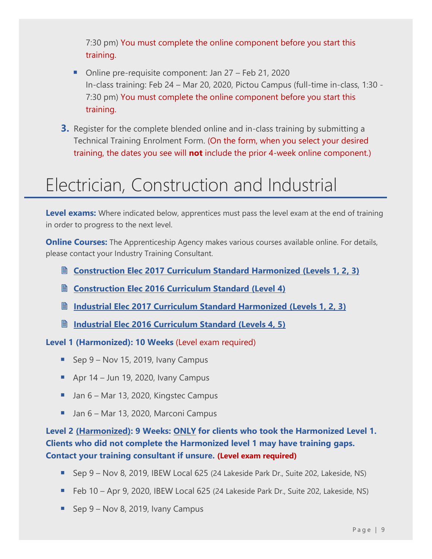7:30 pm) You must complete the online component before you start this training.

- Online pre-requisite component: Jan 27 Feb 21, 2020 In-class training: Feb 24 – Mar 20, 2020, Pictou Campus (full-time in-class, 1:30 - 7:30 pm) You must complete the online component before you start this training.
- **3.** Register for the complete blended online and in-class training by submitting a Technical Training Enrolment Form. (On the form, when you select your desired training, the dates you see will **not** include the prior 4-week online component.)

### <span id="page-9-0"></span>Electrician, Construction and Industrial

**Level exams:** Where indicated below, apprentices must pass the level exam at the end of training in order to progress to the next level.

**Online Courses:** The Apprenticeship Agency makes various courses available online. For details, please contact your Industry Training Consultant.

- **Construction Elec 2017 [Curriculum Standard Harmonized \(Levels 1, 2, 3\)](https://nsapprenticeship.ca/sites/default/files/docs/pubs/CElecAACS.pdf)**
- **Construction Elec 2016 [Curriculum Standard \(Level](https://nsapprenticeship.ca/sites/default/files/docs/pubs/CEIPG.pdf) 4)**
- **Industrial [Elec 2017 Curriculum Standard Harmonized \(Levels 1, 2, 3\)](https://nsapprenticeship.ca/sites/default/files/docs/pubs/IEAACS.pdf)**
- **Industrial [Elec 2016 Curriculum Standard \(Levels](https://nsapprenticeship.ca/sites/default/files/docs/pubs/IEIPG.pdf) 4, 5)**

**Level 1 (Harmonized): 10 Weeks** (Level exam required)

- Sep 9 Nov 15, 2019, Ivany Campus
- **•** Apr  $14$  Jun 19, 2020, Ivany Campus
- Jan 6 Mar 13, 2020, Kingstec Campus
- Jan 6 Mar 13, 2020, Marconi Campus

**Level 2 (Harmonized): 9 Weeks: ONLY for clients who took the Harmonized Level 1. Clients who did not complete the Harmonized level 1 may have training gaps. Contact your training consultant if unsure. (Level exam required)**

- Sep 9 Nov 8, 2019, IBEW Local 625 (24 Lakeside Park Dr., Suite 202, Lakeside, NS)
- Feb 10 Apr 9, 2020, IBEW Local 625 (24 Lakeside Park Dr., Suite 202, Lakeside, NS)
- Sep 9 Nov 8, 2019, Ivany Campus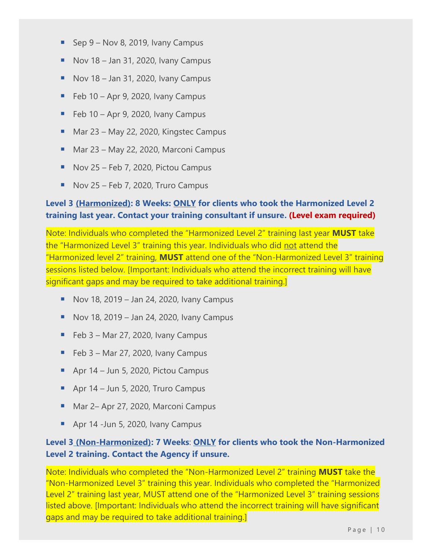- **E** Sep  $9 Nov 8, 2019, Ivany Campus$
- $\blacksquare$  Nov 18 Jan 31, 2020, Ivany Campus
- $\blacksquare$  Nov 18 Jan 31, 2020, Ivany Campus
- $\blacksquare$  Feb 10 Apr 9, 2020, Ivany Campus
- $\blacksquare$  Feb 10 Apr 9, 2020, Ivany Campus
- Mar 23 May 22, 2020, Kingstec Campus
- Mar 23 May 22, 2020, Marconi Campus
- Nov 25 Feb 7, 2020, Pictou Campus
- $\blacksquare$  Nov 25 Feb 7, 2020, Truro Campus

### **Level 3 (Harmonized): 8 Weeks: ONLY for clients who took the Harmonized Level 2 training last year. Contact your training consultant if unsure. (Level exam required)**

Note: Individuals who completed the "Harmonized Level 2" training last year **MUST** take the "Harmonized Level 3" training this year. Individuals who did not attend the "Harmonized level 2" training, **MUST** attend one of the "Non-Harmonized Level 3" training sessions listed below. [Important: Individuals who attend the incorrect training will have significant gaps and may be required to take additional training.]

- Nov 18, 2019 Jan 24, 2020, Ivany Campus
- $\blacksquare$  Nov 18, 2019 Jan 24, 2020, Ivany Campus
- $\blacksquare$  Feb 3 Mar 27, 2020, Ivany Campus
- $\blacksquare$  Feb 3 Mar 27, 2020, Ivany Campus
- Apr 14 Jun 5, 2020, Pictou Campus
- $\blacksquare$  Apr 14 Jun 5, 2020, Truro Campus
- Mar 2– Apr 27, 2020, Marconi Campus
- Apr 14 -Jun 5, 2020, Ivany Campus

### **Level 3 (Non-Harmonized): 7 Weeks**: **ONLY for clients who took the Non-Harmonized Level 2 training. Contact the Agency if unsure.**

Note: Individuals who completed the "Non-Harmonized Level 2" training **MUST** take the "Non-Harmonized Level 3" training this year. Individuals who completed the "Harmonized Level 2" training last year, MUST attend one of the "Harmonized Level 3" training sessions listed above. [Important: Individuals who attend the incorrect training will have significant gaps and may be required to take additional training.]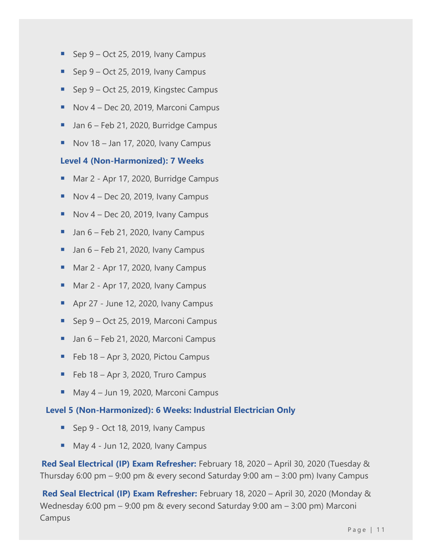- Sep  $9$  Oct 25, 2019, Ivany Campus
- Sep  $9 Oct 25$ , 2019, Ivany Campus
- Sep 9 Oct 25, 2019, Kingstec Campus
- Nov 4 Dec 20, 2019, Marconi Campus
- Jan 6 Feb 21, 2020, Burridge Campus
- $\blacksquare$  Nov 18 Jan 17, 2020, Ivany Campus

#### **Level 4 (Non-Harmonized): 7 Weeks**

- Mar 2 Apr 17, 2020, Burridge Campus
- $\blacksquare$  Nov 4 Dec 20, 2019, Ivany Campus
- $\blacksquare$  Nov 4 Dec 20, 2019, Ivany Campus
- $\blacksquare$  Jan 6 Feb 21, 2020, Ivany Campus
- $\blacksquare$  Jan 6 Feb 21, 2020, Ivany Campus
- Mar 2 Apr 17, 2020, Ivany Campus
- Mar 2 Apr 17, 2020, Ivany Campus
- Apr 27 June 12, 2020, Ivany Campus
- Sep 9 Oct 25, 2019, Marconi Campus
- Jan 6 Feb 21, 2020, Marconi Campus
- Feb 18 Apr 3, 2020, Pictou Campus
- Feb 18 Apr 3, 2020, Truro Campus
- May 4 Jun 19, 2020, Marconi Campus

#### **Level 5 (Non-Harmonized): 6 Weeks: Industrial Electrician Only**

- Sep 9 Oct 18, 2019, Ivany Campus
- May 4 Jun 12, 2020, Ivany Campus

 **Red Seal Electrical (IP) Exam Refresher:** February 18, 2020 – April 30, 2020 (Tuesday & Thursday 6:00 pm – 9:00 pm & every second Saturday 9:00 am – 3:00 pm) Ivany Campus

**Red Seal Electrical (IP) Exam Refresher:** February 18, 2020 – April 30, 2020 (Monday & Wednesday 6:00 pm – 9:00 pm & every second Saturday 9:00 am – 3:00 pm) Marconi Campus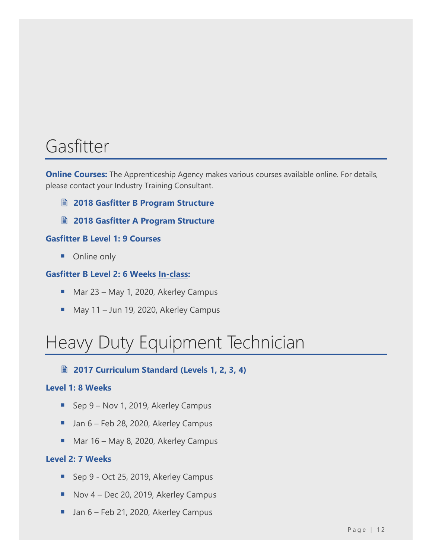### <span id="page-12-0"></span>Gasfitter

**Online Courses:** The Apprenticeship Agency makes various courses available online. For details, please contact your Industry Training Consultant.

- **2018 [Gasfitter B Program Structure](https://nsapprenticeship.ca/sites/default/files/docs/pubs/Gas-ClassB.pdf)**
- **2018 [Gasfitter A Program Structure](https://nsapprenticeship.ca/sites/default/files/docs/pubs/Gas-ClassA.pdf)**

### **Gasfitter B Level 1: 9 Courses**

■ Online only

#### **Gasfitter B Level 2: 6 Weeks In-class:**

- Mar 23 May 1, 2020, Akerley Campus
- May 11 Jun 19, 2020, Akerley Campus

# <span id="page-12-1"></span>Heavy Duty Equipment Technician

**2017 [Curriculum Standard \(Levels 1, 2, 3, 4\)](https://nsapprenticeship.ca/sites/default/files/docs/pubs/HDNACS.pdf)**

#### **Level 1: 8 Weeks**

- Sep 9 Nov 1, 2019, Akerley Campus
- Jan 6 Feb 28, 2020, Akerley Campus
- Mar 16 May 8, 2020, Akerley Campus

#### **Level 2: 7 Weeks**

- Sep 9 Oct 25, 2019, Akerley Campus
- Nov 4 Dec 20, 2019, Akerley Campus
- Jan 6 Feb 21, 2020, Akerley Campus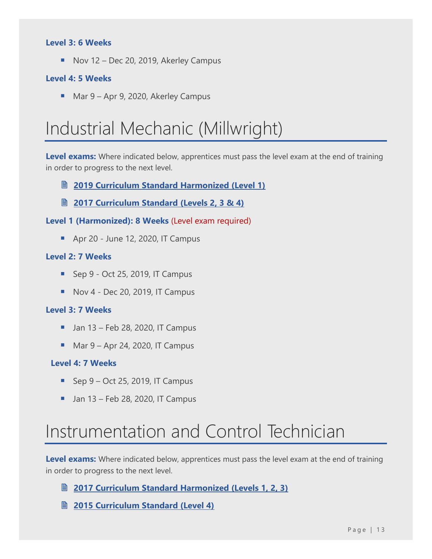#### **Level 3: 6 Weeks**

■ Nov 12 – Dec 20, 2019, Akerley Campus

#### **Level 4: 5 Weeks**

■ Mar 9 – Apr 9, 2020, Akerley Campus

### <span id="page-13-0"></span>Industrial Mechanic (Millwright)

**Level exams:** Where indicated below, apprentices must pass the level exam at the end of training in order to progress to the next level.

- **[2019 Curriculum Standard Harmonized \(Level 1\)](https://nsapprenticeship.ca/sites/default/files/docs/pubs/IMMAACS.pdf)**
- **[2017 Curriculum Standard \(Levels 2, 3 & 4\)](https://nsapprenticeship.ca/sites/default/files/docs/pubs/IMMNACS.pdf)**

**Level 1 (Harmonized): 8 Weeks** (Level exam required)

■ Apr 20 - June 12, 2020, IT Campus

### **Level 2: 7 Weeks**

- $\blacksquare$  Sep 9 Oct 25, 2019, IT Campus
- $\blacksquare$  Nov 4 Dec 20, 2019, IT Campus

#### **Level 3: 7 Weeks**

- $\blacksquare$  Jan 13 Feb 28, 2020, IT Campus
- Mar  $9 -$  Apr 24, 2020, IT Campus

#### **Level 4: 7 Weeks**

- $\blacksquare$  Sep 9 Oct 25, 2019, IT Campus
- $\blacksquare$  Jan 13 Feb 28, 2020, IT Campus

### <span id="page-13-1"></span>Instrumentation and Control Technician

**Level exams:** Where indicated below, apprentices must pass the level exam at the end of training in order to progress to the next level.

**[2017 Curriculum Standard Harmonized \(Levels](https://nsapprenticeship.ca/sites/default/files/docs/pubs/ICTAACS.pdf) 1, 2, 3)**

**2015 [Curriculum Standard \(Level 4\)](https://www.nsapprenticeship.ca/sites/default/files/docs/pubs/ICTIPG.pdf)**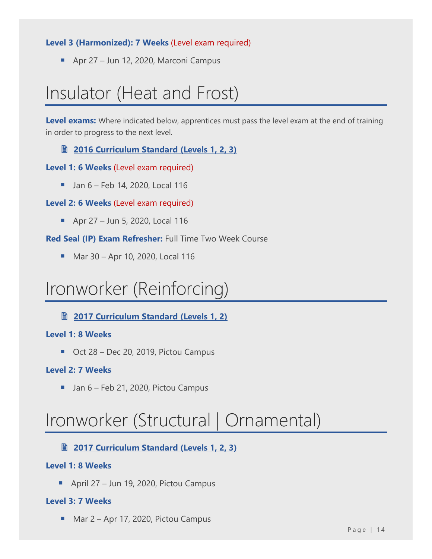### **Level 3 (Harmonized): 7 Weeks** (Level exam required)

■ Apr 27 – Jun 12, 2020, Marconi Campus

## <span id="page-14-0"></span>Insulator (Heat and Frost)

Level exams: Where indicated below, apprentices must pass the level exam at the end of training in order to progress to the next level.

**[2016 Curriculum Standard \(Levels 1, 2, 3\)](https://nsapprenticeship.ca/sites/default/files/docs/pubs/IHFACS.pdf)**

### **Level 1: 6 Weeks** (Level exam required)

 $\blacksquare$  Jan 6 – Feb 14, 2020, Local 116

### **Level 2: 6 Weeks** (Level exam required)

■ Apr 27 – Jun 5, 2020, Local 116

**Red Seal (IP) Exam Refresher:** Full Time Two Week Course

■ Mar 30 – Apr 10, 2020, Local 116

### <span id="page-14-1"></span>Ironworker (Reinforcing)

**[2017 Curriculum Standard \(Levels 1, 2\)](https://nsapprenticeship.ca/sites/default/files/docs/pubs/IronRNACS.pdf)**

### **Level 1: 8 Weeks**

■ Oct 28 – Dec 20, 2019, Pictou Campus

### **Level 2: 7 Weeks**

■ Jan 6 – Feb 21, 2020, Pictou Campus

### <span id="page-14-2"></span>Ironworker (Structural | Ornamental)

### **2017 [Curriculum Standard \(Levels 1, 2, 3\)](https://nsapprenticeship.ca/sites/default/files/docs/pubs/IronSONACS.pdf)**

### **Level 1: 8 Weeks**

■ April 27 – Jun 19, 2020, Pictou Campus

### **Level 3: 7 Weeks**

■ Mar 2 – Apr 17, 2020, Pictou Campus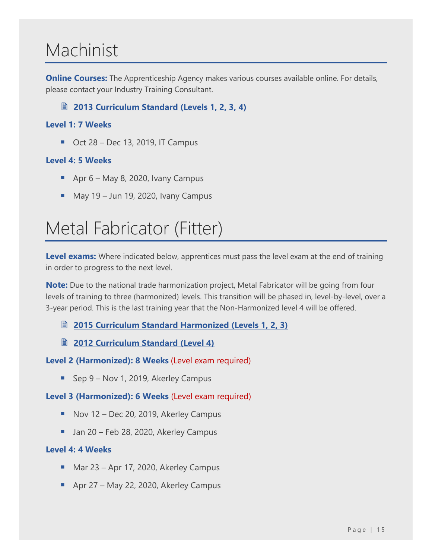### <span id="page-15-0"></span>Machinist

**Online Courses:** The Apprenticeship Agency makes various courses available online. For details, please contact your Industry Training Consultant.

**2013 [Curriculum Standard \(Levels 1, 2, 3, 4\)](https://nsapprenticeship.ca/sites/default/files/docs/pubs/MachIPG.pdf)**

### **Level 1: 7 Weeks**

 $\blacksquare$  Oct 28 – Dec 13, 2019, IT Campus

### **Level 4: 5 Weeks**

- **•** Apr  $6 -$  May 8, 2020, Ivany Campus
- $\blacksquare$  May 19 Jun 19, 2020, Ivany Campus

### <span id="page-15-1"></span>Metal Fabricator (Fitter)

Level exams: Where indicated below, apprentices must pass the level exam at the end of training in order to progress to the next level.

**Note:** Due to the national trade harmonization project, Metal Fabricator will be going from four levels of training to three (harmonized) levels. This transition will be phased in, level-by-level, over a 3-year period. This is the last training year that the Non-Harmonized level 4 will be offered.

**2015 [Curriculum Standard Harmonized \(Levels 1, 2, 3\)](https://nsapprenticeship.ca/sites/default/files/docs/pubs/MFAACS.pdf)**

**[2012 Curriculum Standard \(Level 4\)](https://nsapprenticeship.ca/sites/default/files/docs/pubs/MFIPG.pdf)**

**Level 2 (Harmonized): 8 Weeks** (Level exam required)

■ Sep 9 – Nov 1, 2019, Akerley Campus

### **Level 3 (Harmonized): 6 Weeks** (Level exam required)

- Nov 12 Dec 20, 2019, Akerley Campus
- Jan 20 Feb 28, 2020, Akerley Campus

### **Level 4: 4 Weeks**

- Mar 23 Apr 17, 2020, Akerley Campus
- Apr 27 May 22, 2020, Akerley Campus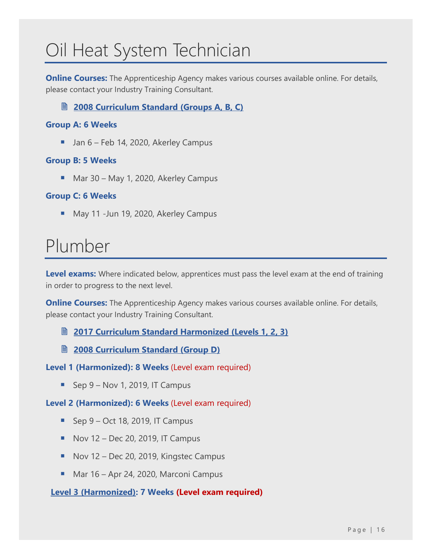# <span id="page-16-0"></span>Oil Heat System Technician

**Online Courses:** The Apprenticeship Agency makes various courses available online. For details, please contact your Industry Training Consultant.

### **[2008 Curriculum Standard \(Groups A, B, C\)](https://nsapprenticeship.ca/sites/default/files/docs/pubs/OHSTACS.pdf)**

### **Group A: 6 Weeks**

■ Jan 6 – Feb 14, 2020, Akerley Campus

### **Group B: 5 Weeks**

■ Mar 30 – May 1, 2020, Akerley Campus

### **Group C: 6 Weeks**

■ May 11 -Jun 19, 2020, Akerley Campus

### <span id="page-16-1"></span>Plumber

**Level exams:** Where indicated below, apprentices must pass the level exam at the end of training in order to progress to the next level.

**Online Courses:** The Apprenticeship Agency makes various courses available online. For details, please contact your Industry Training Consultant.

**2017 [Curriculum Standard Harmonized \(Levels 1, 2, 3\)](https://nsapprenticeship.ca/sites/default/files/docs/pubs/PlumbAACS.pdf)**

**2008 [Curriculum Standard \(Group D\)](https://nsapprenticeship.ca/sites/default/files/docs/pubs/PlumbACS.pdf)**

**Level 1 (Harmonized): 8 Weeks** (Level exam required)

 $\blacksquare$  Sep 9 – Nov 1, 2019, IT Campus

**Level 2 (Harmonized): 6 Weeks** (Level exam required)

- $\blacksquare$  Sep 9 Oct 18, 2019, IT Campus
- $\blacksquare$  Nov 12 Dec 20, 2019, IT Campus
- Nov 12 Dec 20, 2019, Kingstec Campus
- Mar 16 Apr 24, 2020, Marconi Campus

**Level 3 (Harmonized): 7 Weeks (Level exam required)**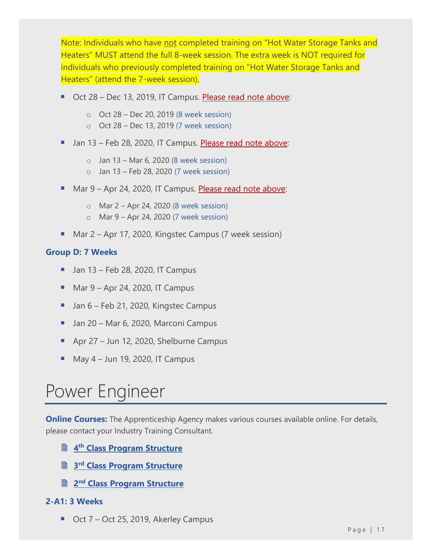Note: Individuals who have not completed training on "Hot Water Storage Tanks and Heaters" MUST attend the full 8-week session. The extra week is NOT required for individuals who previously completed training on "Hot Water Storage Tanks and Heaters" (attend the 7-week session).

- Oct 28 Dec 13, 2019, IT Campus. Please read note above:
	- o Oct 28 Dec 20, 2019 (8 week session)
	- o Oct 28 Dec 13, 2019 (7 week session)
- **U** Jan 13 Feb 28, 2020, IT Campus. Please read note above:
	- $\circ$  Jan 13 Mar 6, 2020 (8 week session)
	- $\circ$  Jan 13 Feb 28, 2020 (7 week session)
- Mar 9 Apr 24, 2020, IT Campus. Please read note above:
	- o Mar 2 Apr 24, 2020 (8 week session)
	- o Mar 9 Apr 24, 2020 (7 week session)
- Mar 2 Apr 17, 2020, Kingstec Campus (7 week session)

### **Group D: 7 Weeks**

- $\blacksquare$  Jan 13 Feb 28, 2020, IT Campus
- Mar  $9 -$  Apr 24, 2020, IT Campus
- Jan 6 Feb 21, 2020, Kingstec Campus
- Jan 20 Mar 6, 2020, Marconi Campus
- Apr  $27 -$  Jun 12, 2020, Shelburne Campus
- May 4 Jun 19, 2020, IT Campus

### <span id="page-17-0"></span>Power Engineer

**Online Courses:** The Apprenticeship Agency makes various courses available online. For details, please contact your Industry Training Consultant.

- **4 th [Class Program Structure](https://nsapprenticeship.ca/sites/default/files/docs/pubs/PowerEngineer4th.pdf)**
- **3 rd [Class Program Structure](https://nsapprenticeship.ca/sites/default/files/docs/pubs/PowerEngineer3rd.pdf)**
- **<u> 2<sup>nd</sup> [Class Program Structure](https://nsapprenticeship.ca/sites/default/files/docs/pubs/PowerEngineer2nd.pdf)</u>**

### **2-A1: 3 Weeks**

■ Oct 7 – Oct 25, 2019, Akerley Campus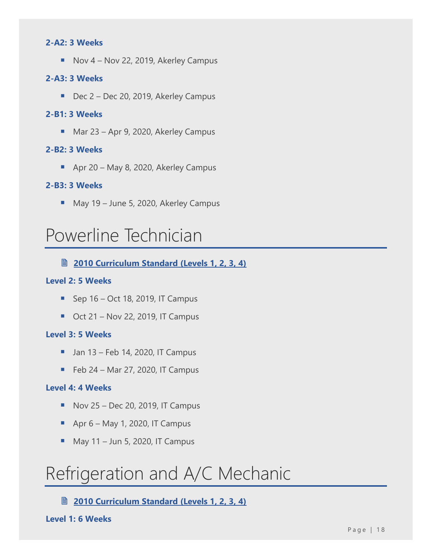#### **2-A2: 3 Weeks**

■ Nov 4 – Nov 22, 2019, Akerley Campus

#### **2-A3: 3 Weeks**

■ Dec 2 – Dec 20, 2019, Akerley Campus

#### **2-B1: 3 Weeks**

■ Mar 23 – Apr 9, 2020, Akerley Campus

#### **2-B2: 3 Weeks**

■ Apr 20 – May 8, 2020, Akerley Campus

#### **2-B3: 3 Weeks**

■ May 19 – June 5, 2020, Akerley Campus

### <span id="page-18-0"></span>Powerline Technician

### **[2010 Curriculum Standard \(Levels 1, 2, 3, 4\)](https://nsapprenticeship.ca/sites/default/files/docs/pubs/PowerACS.pdf)**

#### **Level 2: 5 Weeks**

- $\blacksquare$  Sep 16 Oct 18, 2019, IT Campus
- $\blacksquare$  Oct 21 Nov 22, 2019, IT Campus

#### **Level 3: 5 Weeks**

- $\blacksquare$  Jan 13 Feb 14, 2020, IT Campus
- $\blacksquare$  Feb 24 Mar 27, 2020, IT Campus

#### **Level 4: 4 Weeks**

- $\blacksquare$  Nov 25 Dec 20, 2019, IT Campus
- $\blacksquare$  Apr 6 May 1, 2020, IT Campus
- $M$  May 11 Jun 5, 2020, IT Campus

### <span id="page-18-1"></span>Refrigeration and A/C Mechanic

**[2010 Curriculum Standard \(Levels 1, 2, 3, 4\)](https://nsapprenticeship.ca/sites/default/files/docs/pubs/RACMIPG.pdf)**

**Level 1: 6 Weeks**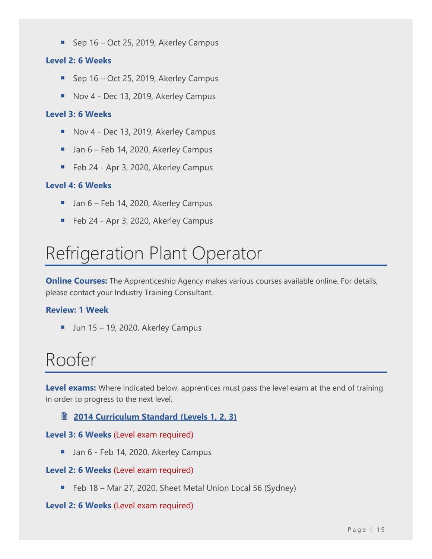■ Sep 16 – Oct 25, 2019, Akerley Campus

### **Level 2: 6 Weeks**

- Sep 16 Oct 25, 2019, Akerley Campus
- Nov 4 Dec 13, 2019, Akerley Campus

### **Level 3: 6 Weeks**

- Nov 4 Dec 13, 2019, Akerley Campus
- Jan 6 Feb 14, 2020, Akerley Campus
- Feb 24 Apr 3, 2020, Akerley Campus

### **Level 4: 6 Weeks**

- Jan 6 Feb 14, 2020, Akerley Campus
- Feb 24 Apr 3, 2020, Akerley Campus

### <span id="page-19-0"></span>Refrigeration Plant Operator

**Online Courses:** The Apprenticeship Agency makes various courses available online. For details, please contact your Industry Training Consultant.

### **Review: 1 Week**

 $\blacksquare$  Jun 15 – 19, 2020, Akerley Campus

### <span id="page-19-1"></span>Roofer

**Level exams:** Where indicated below, apprentices must pass the level exam at the end of training in order to progress to the next level.

### **[2014 Curriculum Standard \(Levels 1, 2, 3\)](https://nsapprenticeship.ca/sites/default/files/docs/pubs/RoofACS.pdf)**

### **Level 3: 6 Weeks** (Level exam required)

■ Jan 6 - Feb 14, 2020, Akerley Campus

### **Level 2: 6 Weeks** (Level exam required)

■ Feb 18 – Mar 27, 2020, Sheet Metal Union Local 56 (Sydney)

### **Level 2: 6 Weeks** (Level exam required)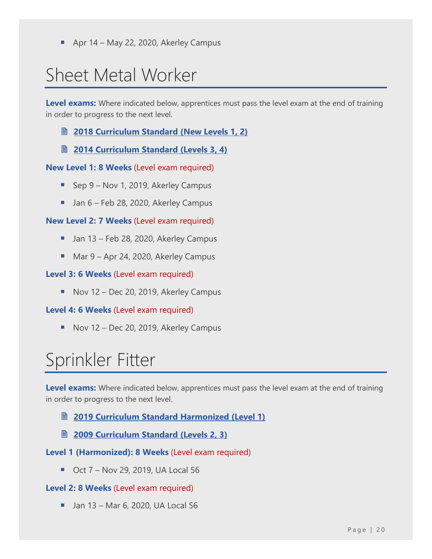Apr 14 – May 22, 2020, Akerley Campus

## <span id="page-20-0"></span>Sheet Metal Worker

**Level exams:** Where indicated below, apprentices must pass the level exam at the end of training in order to progress to the next level.

- **2018 [Curriculum Standard \(New Levels](https://nsapprenticeship.ca/sites/default/files/docs/pubs/SMNACS.pdf) 1, 2)**
- **[2014 Curriculum Standard \(Levels 3, 4\)](https://nsapprenticeship.ca/sites/default/files/docs/pubs/SMIPG.pdf)**

### **New Level 1: 8 Weeks** (Level exam required)

- Sep 9 Nov 1, 2019, Akerley Campus
- Jan 6 Feb 28, 2020, Akerley Campus

### **New Level 2: 7 Weeks** (Level exam required)

- Jan 13 Feb 28, 2020, Akerley Campus
- Mar 9 Apr 24, 2020, Akerley Campus

#### **Level 3: 6 Weeks** (Level exam required)

■ Nov 12 – Dec 20, 2019, Akerley Campus

### **Level 4: 6 Weeks** (Level exam required)

■ Nov 12 – Dec 20, 2019, Akerley Campus

### <span id="page-20-1"></span>Sprinkler Fitter

**Level exams:** Where indicated below, apprentices must pass the level exam at the end of training in order to progress to the next level.

- **[2019 Curriculum Standard Harmonized \(Level 1\)](https://nsapprenticeship.ca/sites/default/files/docs/pubs/SSIAACS.pdf)**
- **[2009 Curriculum Standard \(Levels 2, 3\)](https://nsapprenticeship.ca/sites/default/files/docs/pubs/SSIIPG.pdf)**
- **Level 1 (Harmonized): 8 Weeks** (Level exam required)
	- Oct 7 Nov 29, 2019, UA Local 56

#### **Level 2: 8 Weeks** (Level exam required)

 $\blacksquare$  Jan 13 – Mar 6, 2020, UA Local 56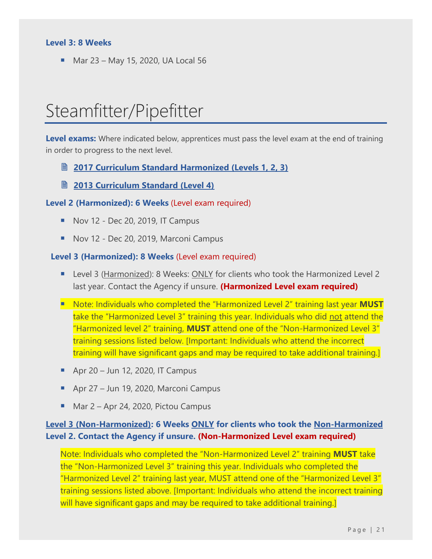### **Level 3: 8 Weeks**

<span id="page-21-0"></span>■ Mar 23 – May 15, 2020, UA Local 56

### Steamfitter/Pipefitter

**Level exams:** Where indicated below, apprentices must pass the level exam at the end of training in order to progress to the next level.

- **2017 [Curriculum Standard Harmonized \(Levels](https://nsapprenticeship.ca/sites/default/files/docs/pubs/SteamAACS.pdf) 1, 2, 3)**
- **2013 [Curriculum Standard \(Level 4\)](https://nsapprenticeship.ca/sites/default/files/docs/pubs/SteamIPG.pdf)**

#### **Level 2 (Harmonized): 6 Weeks** (Level exam required)

- $\blacksquare$  Nov 12 Dec 20, 2019, IT Campus
- Nov 12 Dec 20, 2019, Marconi Campus

#### **Level 3 (Harmonized): 8 Weeks** (Level exam required)

- Level 3 (Harmonized): 8 Weeks: ONLY for clients who took the Harmonized Level 2 last year. Contact the Agency if unsure. **(Harmonized Level exam required)**
- Note: Individuals who completed the "Harmonized Level 2" training last year **MUST** take the "Harmonized Level 3" training this year. Individuals who did not attend the "Harmonized level 2" training, **MUST** attend one of the "Non-Harmonized Level 3" training sessions listed below. [Important: Individuals who attend the incorrect training will have significant gaps and may be required to take additional training.]
- Apr 20 Jun 12, 2020, IT Campus
- Apr 27 Jun 19, 2020, Marconi Campus
- Mar 2 Apr 24, 2020, Pictou Campus

### **Level 3 (Non-Harmonized): 6 Weeks ONLY for clients who took the Non-Harmonized Level 2. Contact the Agency if unsure. (Non-Harmonized Level exam required)**

Note: Individuals who completed the "Non-Harmonized Level 2" training **MUST** take the "Non-Harmonized Level 3" training this year. Individuals who completed the "Harmonized Level 2" training last year, MUST attend one of the "Harmonized Level 3" training sessions listed above. [Important: Individuals who attend the incorrect training will have significant gaps and may be required to take additional training.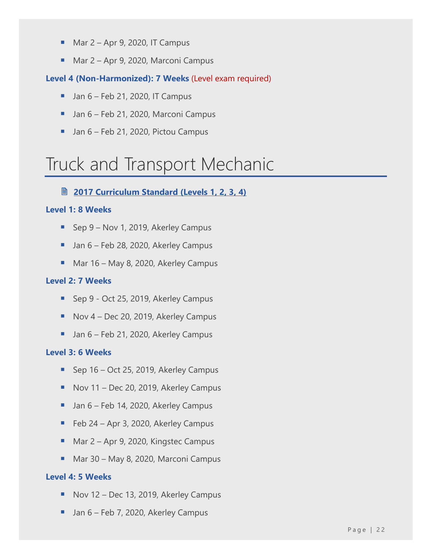- $\underline{\hspace{1em}}$  Mar 2 Apr 9, 2020, IT Campus
- Mar 2 Apr 9, 2020, Marconi Campus

### **Level 4 (Non-Harmonized): 7 Weeks** (Level exam required)

- $\blacksquare$  Jan 6 Feb 21, 2020, IT Campus
- Jan 6 Feb 21, 2020, Marconi Campus
- Jan 6 Feb 21, 2020, Pictou Campus

# <span id="page-22-0"></span>Truck and Transport Mechanic

### **2017 [Curriculum Standard \(Levels 1, 2, 3, 4\)](https://nsapprenticeship.ca/sites/default/files/docs/pubs/TTMNACS.pdf)**

### **Level 1: 8 Weeks**

- Sep 9 Nov 1, 2019, Akerley Campus
- Jan 6 Feb 28, 2020, Akerley Campus
- Mar 16 May 8, 2020, Akerley Campus

### **Level 2: 7 Weeks**

- Sep 9 Oct 25, 2019, Akerley Campus
- Nov 4 Dec 20, 2019, Akerley Campus
- Jan 6 Feb 21, 2020, Akerley Campus

### **Level 3: 6 Weeks**

- Sep 16 Oct 25, 2019, Akerley Campus
- Nov 11 Dec 20, 2019, Akerley Campus
- Jan 6 Feb 14, 2020, Akerley Campus
- Feb 24 Apr 3, 2020, Akerley Campus
- Mar 2 Apr 9, 2020, Kingstec Campus
- Mar 30 May 8, 2020, Marconi Campus

### **Level 4: 5 Weeks**

- Nov 12 Dec 13, 2019, Akerley Campus
- Jan 6 Feb 7, 2020, Akerley Campus